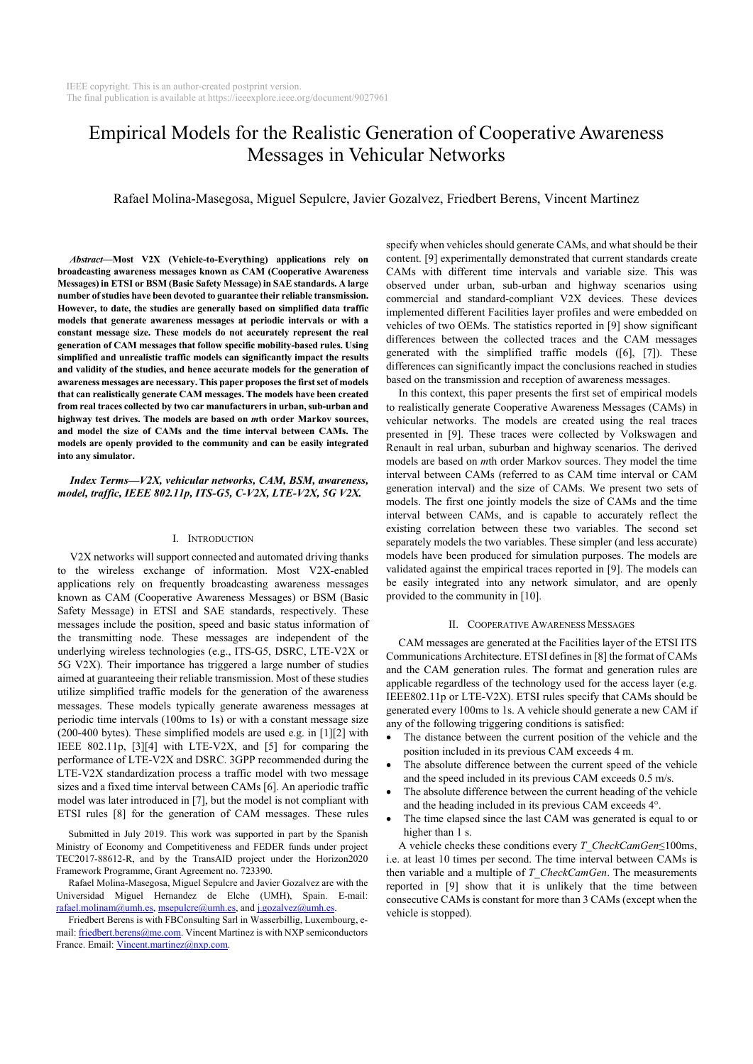# Empirical Models for the Realistic Generation of Cooperative Awareness Messages in Vehicular Networks

Rafael Molina-Masegosa, Miguel Sepulcre, Javier Gozalvez, Friedbert Berens, Vincent Martinez

*Abstract***—Most V2X (Vehicle-to-Everything) applications rely on broadcasting awareness messages known as CAM (Cooperative Awareness Messages) in ETSI or BSM (Basic Safety Message) in SAE standards. A large number of studies have been devoted to guarantee their reliable transmission. However, to date, the studies are generally based on simplified data traffic models that generate awareness messages at periodic intervals or with a constant message size. These models do not accurately represent the real generation of CAM messages that follow specific mobility-based rules. Using simplified and unrealistic traffic models can significantly impact the results and validity of the studies, and hence accurate models for the generation of awareness messages are necessary. This paper proposes the first set of models that can realistically generate CAM messages. The models have been created from real traces collected by two car manufacturers in urban, sub-urban and highway test drives. The models are based on** *m***th order Markov sources, and model the size of CAMs and the time interval between CAMs. The models are openly provided to the community and can be easily integrated into any simulator.** 

## *Index Terms***—***V2X, vehicular networks, CAM, BSM, awareness, model, traffic, IEEE 802.11p, ITS-G5, C-V2X, LTE-V2X, 5G V2X.*

#### I. INTRODUCTION

V2X networks will support connected and automated driving thanks to the wireless exchange of information. Most V2X-enabled applications rely on frequently broadcasting awareness messages known as CAM (Cooperative Awareness Messages) or BSM (Basic Safety Message) in ETSI and SAE standards, respectively. These messages include the position, speed and basic status information of the transmitting node. These messages are independent of the underlying wireless technologies (e.g., ITS-G5, DSRC, LTE-V2X or 5G V2X). Their importance has triggered a large number of studies aimed at guaranteeing their reliable transmission. Most of these studies utilize simplified traffic models for the generation of the awareness messages. These models typically generate awareness messages at periodic time intervals (100ms to 1s) or with a constant message size (200-400 bytes). These simplified models are used e.g. in [1][2] with IEEE 802.11p, [3][4] with LTE-V2X, and [5] for comparing the performance of LTE-V2X and DSRC. 3GPP recommended during the LTE-V2X standardization process a traffic model with two message sizes and a fixed time interval between CAMs [6]. An aperiodic traffic model was later introduced in [7], but the model is not compliant with ETSI rules [8] for the generation of CAM messages. These rules

Submitted in July 2019. This work was supported in part by the Spanish Ministry of Economy and Competitiveness and FEDER funds under project TEC2017-88612-R, and by the TransAID project under the Horizon2020 Framework Programme, Grant Agreement no. 723390.

Rafael Molina-Masegosa, Miguel Sepulcre and Javier Gozalvez are with the Universidad Miguel Hernandez de Elche (UMH), Spain. E-mail: rafael.molinam@umh.es, msepulcre@umh.es, and j.gozalvez@umh.es.

Friedbert Berens is with FBConsulting Sarl in Wasserbillig, Luxembourg, email: friedbert.berens@me.com. Vincent Martinez is with NXP semiconductors France. Email: Vincent.martinez@nxp.com.

specify when vehicles should generate CAMs, and what should be their content. [9] experimentally demonstrated that current standards create CAMs with different time intervals and variable size. This was observed under urban, sub-urban and highway scenarios using commercial and standard-compliant V2X devices. These devices implemented different Facilities layer profiles and were embedded on vehicles of two OEMs. The statistics reported in [9] show significant differences between the collected traces and the CAM messages generated with the simplified traffic models ([6], [7]). These differences can significantly impact the conclusions reached in studies based on the transmission and reception of awareness messages.

In this context, this paper presents the first set of empirical models to realistically generate Cooperative Awareness Messages (CAMs) in vehicular networks. The models are created using the real traces presented in [9]. These traces were collected by Volkswagen and Renault in real urban, suburban and highway scenarios. The derived models are based on *m*th order Markov sources. They model the time interval between CAMs (referred to as CAM time interval or CAM generation interval) and the size of CAMs. We present two sets of models. The first one jointly models the size of CAMs and the time interval between CAMs, and is capable to accurately reflect the existing correlation between these two variables. The second set separately models the two variables. These simpler (and less accurate) models have been produced for simulation purposes. The models are validated against the empirical traces reported in [9]. The models can be easily integrated into any network simulator, and are openly provided to the community in [10].

#### II. COOPERATIVE AWARENESS MESSAGES

CAM messages are generated at the Facilities layer of the ETSI ITS Communications Architecture. ETSI defines in [8] the format of CAMs and the CAM generation rules. The format and generation rules are applicable regardless of the technology used for the access layer (e.g. IEEE802.11p or LTE-V2X). ETSI rules specify that CAMs should be generated every 100ms to 1s. A vehicle should generate a new CAM if any of the following triggering conditions is satisfied:

- The distance between the current position of the vehicle and the position included in its previous CAM exceeds 4 m.
- The absolute difference between the current speed of the vehicle and the speed included in its previous CAM exceeds 0.5 m/s.
- The absolute difference between the current heading of the vehicle and the heading included in its previous CAM exceeds 4°.
- The time elapsed since the last CAM was generated is equal to or higher than 1 s.

A vehicle checks these conditions every *T\_CheckCamGen*≤100ms, i.e. at least 10 times per second. The time interval between CAMs is then variable and a multiple of *T\_CheckCamGen*. The measurements reported in [9] show that it is unlikely that the time between consecutive CAMs is constant for more than 3 CAMs (except when the vehicle is stopped).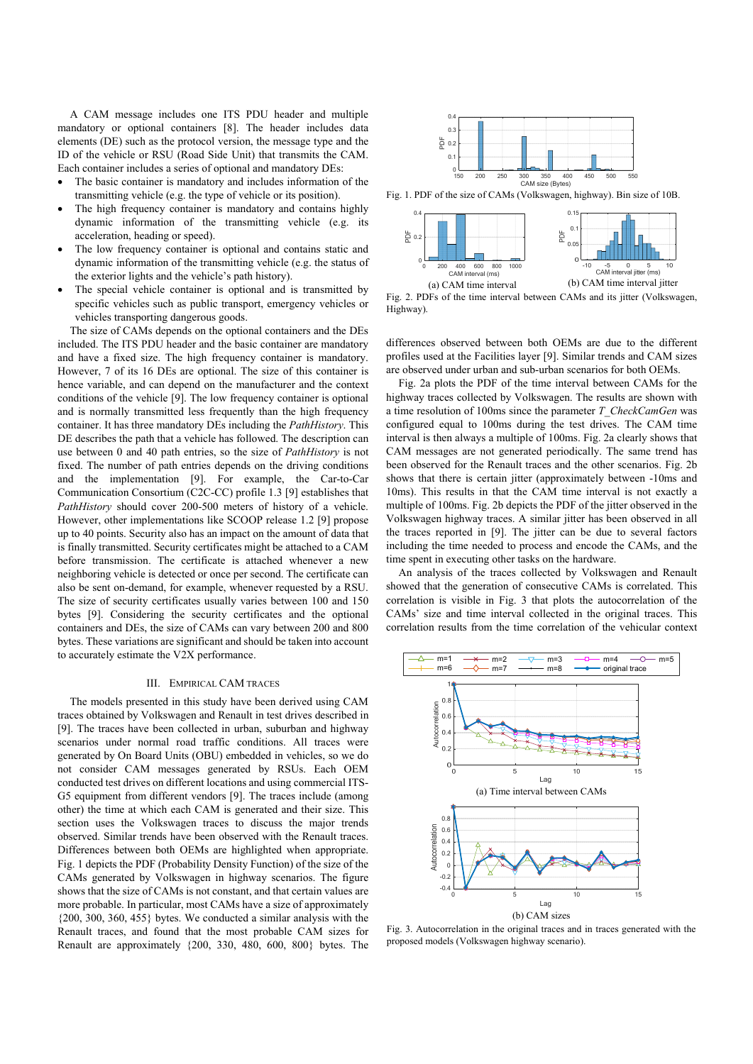A CAM message includes one ITS PDU header and multiple mandatory or optional containers [8]. The header includes data elements (DE) such as the protocol version, the message type and the ID of the vehicle or RSU (Road Side Unit) that transmits the CAM. Each container includes a series of optional and mandatory DEs:

- The basic container is mandatory and includes information of the transmitting vehicle (e.g. the type of vehicle or its position).
- The high frequency container is mandatory and contains highly dynamic information of the transmitting vehicle (e.g. its acceleration, heading or speed).
- The low frequency container is optional and contains static and dynamic information of the transmitting vehicle (e.g. the status of the exterior lights and the vehicle's path history).
- The special vehicle container is optional and is transmitted by specific vehicles such as public transport, emergency vehicles or vehicles transporting dangerous goods.

The size of CAMs depends on the optional containers and the DEs included. The ITS PDU header and the basic container are mandatory and have a fixed size. The high frequency container is mandatory. However, 7 of its 16 DEs are optional. The size of this container is hence variable, and can depend on the manufacturer and the context conditions of the vehicle [9]. The low frequency container is optional and is normally transmitted less frequently than the high frequency container. It has three mandatory DEs including the *PathHistory*. This DE describes the path that a vehicle has followed. The description can use between 0 and 40 path entries, so the size of *PathHistory* is not fixed. The number of path entries depends on the driving conditions and the implementation [9]. For example, the Car-to-Car Communication Consortium (C2C-CC) profile 1.3 [9] establishes that *PathHistory* should cover 200-500 meters of history of a vehicle. However, other implementations like SCOOP release 1.2 [9] propose up to 40 points. Security also has an impact on the amount of data that is finally transmitted. Security certificates might be attached to a CAM before transmission. The certificate is attached whenever a new neighboring vehicle is detected or once per second. The certificate can also be sent on-demand, for example, whenever requested by a RSU. The size of security certificates usually varies between 100 and 150 bytes [9]. Considering the security certificates and the optional containers and DEs, the size of CAMs can vary between 200 and 800 bytes. These variations are significant and should be taken into account to accurately estimate the V2X performance.

### III. EMPIRICAL CAM TRACES

The models presented in this study have been derived using CAM traces obtained by Volkswagen and Renault in test drives described in [9]. The traces have been collected in urban, suburban and highway scenarios under normal road traffic conditions. All traces were generated by On Board Units (OBU) embedded in vehicles, so we do not consider CAM messages generated by RSUs. Each OEM conducted test drives on different locations and using commercial ITS-G5 equipment from different vendors [9]. The traces include (among other) the time at which each CAM is generated and their size. This section uses the Volkswagen traces to discuss the major trends observed. Similar trends have been observed with the Renault traces. Differences between both OEMs are highlighted when appropriate. Fig. 1 depicts the PDF (Probability Density Function) of the size of the CAMs generated by Volkswagen in highway scenarios. The figure shows that the size of CAMs is not constant, and that certain values are more probable. In particular, most CAMs have a size of approximately {200, 300, 360, 455} bytes. We conducted a similar analysis with the Renault traces, and found that the most probable CAM sizes for Renault are approximately {200, 330, 480, 600, 800} bytes. The



Fig. 1. PDF of the size of CAMs (Volkswagen, highway). Bin size of 10B.



Fig. 2. PDFs of the time interval between CAMs and its jitter (Volkswagen, Highway).

differences observed between both OEMs are due to the different profiles used at the Facilities layer [9]. Similar trends and CAM sizes are observed under urban and sub-urban scenarios for both OEMs.

Fig. 2a plots the PDF of the time interval between CAMs for the highway traces collected by Volkswagen. The results are shown with a time resolution of 100ms since the parameter *T\_CheckCamGen* was configured equal to 100ms during the test drives. The CAM time interval is then always a multiple of 100ms. Fig. 2a clearly shows that CAM messages are not generated periodically. The same trend has been observed for the Renault traces and the other scenarios. Fig. 2b shows that there is certain jitter (approximately between -10ms and 10ms). This results in that the CAM time interval is not exactly a multiple of 100ms. Fig. 2b depicts the PDF of the jitter observed in the Volkswagen highway traces. A similar jitter has been observed in all the traces reported in [9]. The jitter can be due to several factors including the time needed to process and encode the CAMs, and the time spent in executing other tasks on the hardware.

An analysis of the traces collected by Volkswagen and Renault showed that the generation of consecutive CAMs is correlated. This correlation is visible in Fig. 3 that plots the autocorrelation of the CAMs' size and time interval collected in the original traces. This correlation results from the time correlation of the vehicular context



Fig. 3. Autocorrelation in the original traces and in traces generated with the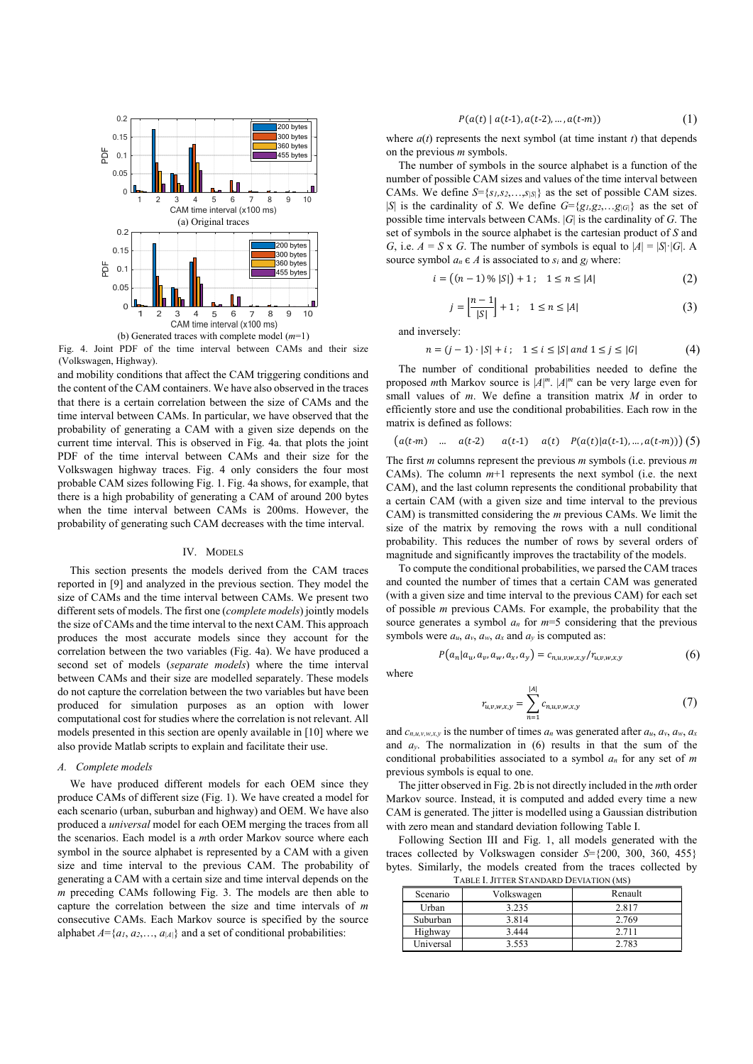

Fig. 4. Joint PDF of the time interval between CAMs and their size (Volkswagen, Highway).

and mobility conditions that affect the CAM triggering conditions and the content of the CAM containers. We have also observed in the traces that there is a certain correlation between the size of CAMs and the time interval between CAMs. In particular, we have observed that the probability of generating a CAM with a given size depends on the current time interval. This is observed in Fig. 4a. that plots the joint PDF of the time interval between CAMs and their size for the Volkswagen highway traces. Fig. 4 only considers the four most probable CAM sizes following Fig. 1. Fig. 4a shows, for example, that there is a high probability of generating a CAM of around 200 bytes when the time interval between CAMs is 200ms. However, the probability of generating such CAM decreases with the time interval.

#### IV. MODELS

This section presents the models derived from the CAM traces reported in [9] and analyzed in the previous section. They model the size of CAMs and the time interval between CAMs. We present two different sets of models. The first one (*complete models*) jointly models the size of CAMs and the time interval to the next CAM. This approach produces the most accurate models since they account for the correlation between the two variables (Fig. 4a). We have produced a second set of models (*separate models*) where the time interval between CAMs and their size are modelled separately. These models do not capture the correlation between the two variables but have been produced for simulation purposes as an option with lower computational cost for studies where the correlation is not relevant. All models presented in this section are openly available in [10] where we also provide Matlab scripts to explain and facilitate their use.

## *A. Complete models*

We have produced different models for each OEM since they produce CAMs of different size (Fig. 1). We have created a model for each scenario (urban, suburban and highway) and OEM. We have also produced a *universal* model for each OEM merging the traces from all the scenarios. Each model is a *m*th order Markov source where each symbol in the source alphabet is represented by a CAM with a given size and time interval to the previous CAM. The probability of generating a CAM with a certain size and time interval depends on the *m* preceding CAMs following Fig. 3. The models are then able to capture the correlation between the size and time intervals of *m* consecutive CAMs. Each Markov source is specified by the source alphabet  $A = \{a_1, a_2, \ldots, a_{|A|}\}\$  and a set of conditional probabilities:

$$
P(a(t) | a(t-1), a(t-2), ..., a(t-m))
$$
\n(1)

where  $a(t)$  represents the next symbol (at time instant  $t$ ) that depends on the previous *m* symbols.

The number of symbols in the source alphabet is a function of the number of possible CAM sizes and values of the time interval between CAMs. We define *S*={*s1,s2*,…,*s|S|*} as the set of possible CAM sizes. |*S*| is the cardinality of *S*. We define *G*={*g1,g2*,…*g|G|*} as the set of possible time intervals between CAMs. |*G*| is the cardinality of *G*. The set of symbols in the source alphabet is the cartesian product of *S* and *G*, i.e.  $A = S \times G$ . The number of symbols is equal to  $|A| = |S| \cdot |G|$ . A source symbol  $a_n \in A$  is associated to  $s_i$  and  $g_j$  where:

$$
i = ((n-1) \mathcal{N} |S|) + 1; \quad 1 \le n \le |A|
$$
 (2)

$$
j = \left| \frac{n-1}{|S|} \right| + 1; \quad 1 \le n \le |A| \tag{3}
$$

and inversely:

 $n = (j-1) \cdot |S| + i$ ;  $1 \le i \le |S|$  and  $1 \le j \le |G|$  (4)

The number of conditional probabilities needed to define the proposed *m*th Markov source is  $|A|^m$ .  $|A|^m$  can be very large even for small values of *m*. We define a transition matrix *M* in order to efficiently store and use the conditional probabilities. Each row in the matrix is defined as follows:

$$
(a(t-m) \quad \dots \quad a(t-2) \qquad a(t-1) \qquad a(t) \quad P(a(t)|a(t-1),\dots,a(t-m)) \tag{5}
$$

The first *m* columns represent the previous *m* symbols (i.e. previous *m* CAMs). The column  $m+1$  represents the next symbol (i.e. the next CAM), and the last column represents the conditional probability that a certain CAM (with a given size and time interval to the previous CAM) is transmitted considering the *m* previous CAMs. We limit the size of the matrix by removing the rows with a null conditional probability. This reduces the number of rows by several orders of magnitude and significantly improves the tractability of the models.

To compute the conditional probabilities, we parsed the CAM traces and counted the number of times that a certain CAM was generated (with a given size and time interval to the previous CAM) for each set of possible *m* previous CAMs. For example, the probability that the source generates a symbol *an* for *m*=5 considering that the previous symbols were  $a_u$ ,  $a_v$ ,  $a_w$ ,  $a_x$  and  $a_y$  is computed as:

$$
P(a_n|a_u, a_v, a_w, a_x, a_y) = c_{n,u,v,w,x,y}/r_{u,v,w,x,y}
$$
(6)

where

$$
r_{u,v,w,x,y} = \sum_{n=1}^{|A|} c_{n,u,v,w,x,y}
$$
 (7)

and *cn,u,v,w,x,y* is the number of times *an* was generated after *au*, *av*, *aw*, *ax* and *ay*. The normalization in (6) results in that the sum of the conditional probabilities associated to a symbol *an* for any set of *m* previous symbols is equal to one.

The jitter observed in Fig. 2b is not directly included in the *m*th order Markov source. Instead, it is computed and added every time a new CAM is generated. The jitter is modelled using a Gaussian distribution with zero mean and standard deviation following Table I.

Following Section III and Fig. 1, all models generated with the traces collected by Volkswagen consider *S*={200, 300, 360, 455} bytes. Similarly, the models created from the traces collected by TABLE I. JITTER STANDARD DEVIATION (MS)

| <b>I ADLL 1. JII LLK D'I ANDAND DE VIATION (MD)</b> |            |         |  |  |  |
|-----------------------------------------------------|------------|---------|--|--|--|
| Scenario                                            | Volkswagen | Renault |  |  |  |
| Urban                                               | 3.235      | 2.817   |  |  |  |
| Suburban                                            | 3.814      | 2.769   |  |  |  |
| Highway                                             | 3.444      | 2.711   |  |  |  |
| Universal                                           | 3.553      | 2.783   |  |  |  |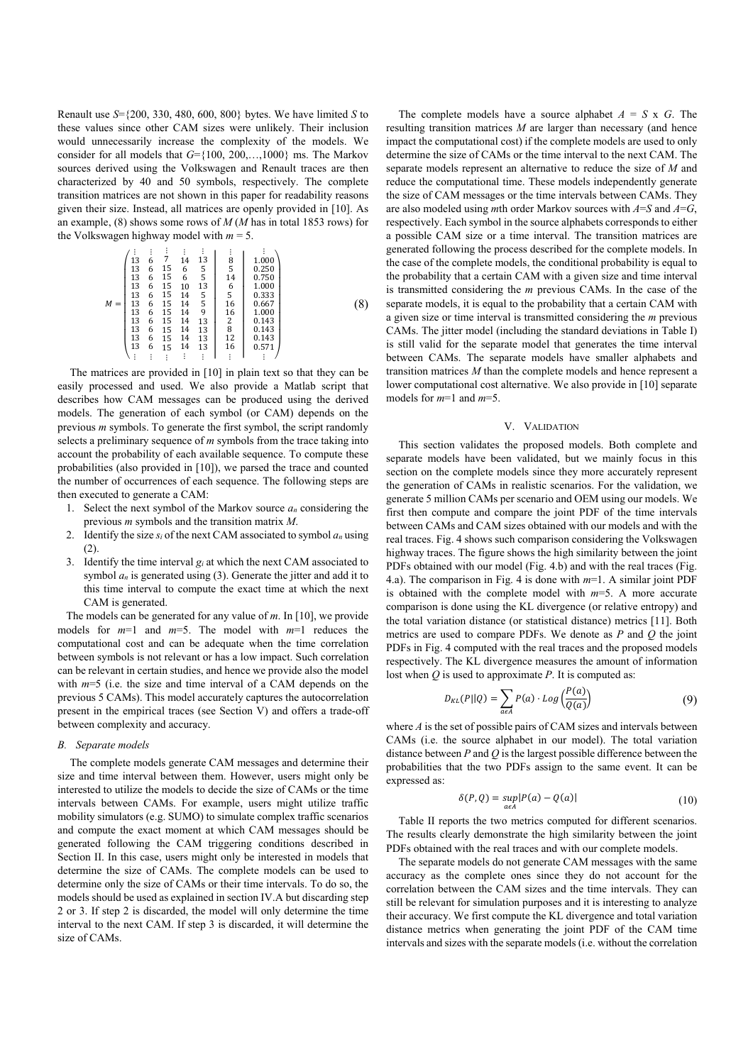Renault use *S*={200, 330, 480, 600, 800} bytes. We have limited *S* to these values since other CAM sizes were unlikely. Their inclusion would unnecessarily increase the complexity of the models. We consider for all models that *G*={100, 200,…,1000} ms. The Markov sources derived using the Volkswagen and Renault traces are then characterized by 40 and 50 symbols, respectively. The complete transition matrices are not shown in this paper for readability reasons given their size. Instead, all matrices are openly provided in [10]. As an example, (8) shows some rows of *M* (*M* has in total 1853 rows) for the Volkswagen highway model with  $m = 5$ .

$$
M = \begin{pmatrix} \mathbf{i} & \mathbf{i} & \mathbf{i} & \mathbf{i} & \mathbf{i} & \mathbf{i} & \mathbf{i} \\ 13 & 6 & 7 & 14 & 13 & 8 & 1.000 \\ 13 & 6 & 15 & 6 & 5 & 5 & 14 & 0.750 \\ 13 & 6 & 15 & 10 & 13 & 6 & 1.000 \\ 13 & 6 & 15 & 14 & 5 & 5 & 0.333 \\ 13 & 6 & 15 & 14 & 5 & 16 & 0.667 \\ 13 & 6 & 15 & 14 & 9 & 16 & 0.667 \\ 13 & 6 & 15 & 14 & 13 & 2 & 0.143 \\ 13 & 6 & 15 & 14 & 13 & 8 & 0.143 \\ 13 & 6 & 15 & 14 & 13 & 8 & 0.143 \\ 13 & 6 & 15 & 14 & 13 & 12 & 0.143 \\ 13 & 6 & 15 & 14 & 13 & 12 & 0.143 \\ 13 & 6 & 15 & 14 & 13 & 16 & 0.571 \\ \vdots & \vdots & \vdots & \vdots & \vdots & \vdots & \vdots & \vdots \end{pmatrix} .
$$

The matrices are provided in [10] in plain text so that they can be easily processed and used. We also provide a Matlab script that describes how CAM messages can be produced using the derived models. The generation of each symbol (or CAM) depends on the previous *m* symbols. To generate the first symbol, the script randomly selects a preliminary sequence of *m* symbols from the trace taking into account the probability of each available sequence. To compute these probabilities (also provided in [10]), we parsed the trace and counted the number of occurrences of each sequence. The following steps are then executed to generate a CAM:

- 1. Select the next symbol of the Markov source *an* considering the previous *m* symbols and the transition matrix *M*.
- 2. Identify the size  $s_i$  of the next CAM associated to symbol  $a_n$  using (2).
- 3. Identify the time interval  $g_i$  at which the next CAM associated to symbol  $a_n$  is generated using (3). Generate the jitter and add it to this time interval to compute the exact time at which the next CAM is generated.

The models can be generated for any value of *m*. In [10], we provide models for *m*=1 and *m*=5. The model with *m*=1 reduces the computational cost and can be adequate when the time correlation between symbols is not relevant or has a low impact. Such correlation can be relevant in certain studies, and hence we provide also the model with *m*=5 (i.e. the size and time interval of a CAM depends on the previous 5 CAMs). This model accurately captures the autocorrelation present in the empirical traces (see Section V) and offers a trade-off between complexity and accuracy.

## *B. Separate models*

The complete models generate CAM messages and determine their size and time interval between them. However, users might only be interested to utilize the models to decide the size of CAMs or the time intervals between CAMs. For example, users might utilize traffic mobility simulators (e.g. SUMO) to simulate complex traffic scenarios and compute the exact moment at which CAM messages should be generated following the CAM triggering conditions described in Section II. In this case, users might only be interested in models that determine the size of CAMs. The complete models can be used to determine only the size of CAMs or their time intervals. To do so, the models should be used as explained in section IV.A but discarding step 2 or 3. If step 2 is discarded, the model will only determine the time interval to the next CAM. If step 3 is discarded, it will determine the size of CAMs.

The complete models have a source alphabet *A* = *S* x *G*. The resulting transition matrices *M* are larger than necessary (and hence impact the computational cost) if the complete models are used to only determine the size of CAMs or the time interval to the next CAM. The separate models represent an alternative to reduce the size of *M* and reduce the computational time. These models independently generate the size of CAM messages or the time intervals between CAMs. They are also modeled using *m*th order Markov sources with *A*=*S* and *A*=*G*, respectively. Each symbol in the source alphabets corresponds to either a possible CAM size or a time interval. The transition matrices are generated following the process described for the complete models. In the case of the complete models, the conditional probability is equal to the probability that a certain CAM with a given size and time interval is transmitted considering the *m* previous CAMs. In the case of the separate models, it is equal to the probability that a certain CAM with a given size or time interval is transmitted considering the *m* previous CAMs. The jitter model (including the standard deviations in Table I) is still valid for the separate model that generates the time interval between CAMs. The separate models have smaller alphabets and transition matrices *M* than the complete models and hence represent a lower computational cost alternative. We also provide in [10] separate models for *m*=1 and *m*=5.

## V. VALIDATION

This section validates the proposed models. Both complete and separate models have been validated, but we mainly focus in this section on the complete models since they more accurately represent the generation of CAMs in realistic scenarios. For the validation, we generate 5 million CAMs per scenario and OEM using our models. We first then compute and compare the joint PDF of the time intervals between CAMs and CAM sizes obtained with our models and with the real traces. Fig. 4 shows such comparison considering the Volkswagen highway traces. The figure shows the high similarity between the joint PDFs obtained with our model (Fig. 4.b) and with the real traces (Fig. 4.a). The comparison in Fig. 4 is done with *m*=1. A similar joint PDF is obtained with the complete model with *m*=5. A more accurate comparison is done using the KL divergence (or relative entropy) and the total variation distance (or statistical distance) metrics [11]. Both metrics are used to compare PDFs. We denote as *P* and *Q* the joint PDFs in Fig. 4 computed with the real traces and the proposed models respectively. The KL divergence measures the amount of information lost when *Q* is used to approximate *P*. It is computed as:

$$
D_{KL}(P||Q) = \sum_{a \in A} P(a) \cdot Log\left(\frac{P(a)}{Q(a)}\right) \tag{9}
$$

where *A* is the set of possible pairs of CAM sizes and intervals between CAMs (i.e. the source alphabet in our model). The total variation distance between *P* and *Q* is the largest possible difference between the probabilities that the two PDFs assign to the same event. It can be expressed as:

$$
\delta(P, Q) = \sup_{a \in A} |P(a) - Q(a)| \tag{10}
$$

Table II reports the two metrics computed for different scenarios. The results clearly demonstrate the high similarity between the joint PDFs obtained with the real traces and with our complete models.

The separate models do not generate CAM messages with the same accuracy as the complete ones since they do not account for the correlation between the CAM sizes and the time intervals. They can still be relevant for simulation purposes and it is interesting to analyze their accuracy. We first compute the KL divergence and total variation distance metrics when generating the joint PDF of the CAM time intervals and sizes with the separate models (i.e. without the correlation